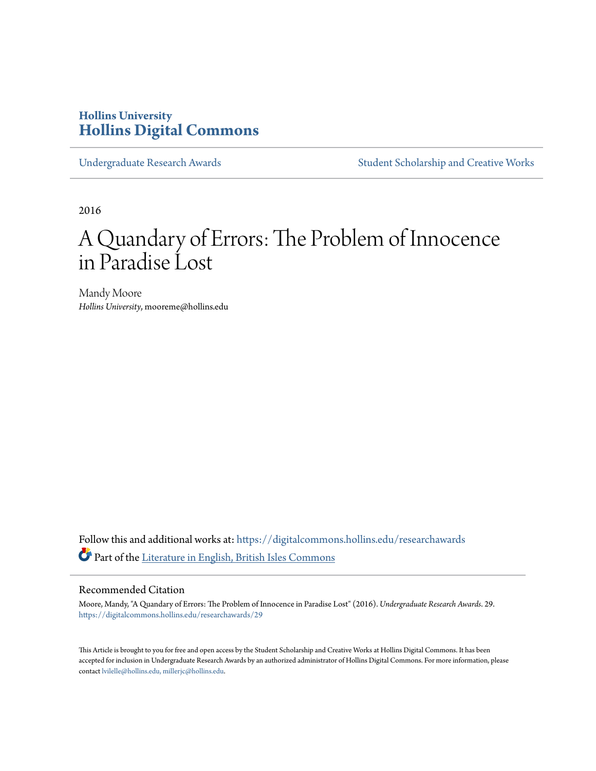# **Hollins University [Hollins Digital Commons](https://digitalcommons.hollins.edu?utm_source=digitalcommons.hollins.edu%2Fresearchawards%2F29&utm_medium=PDF&utm_campaign=PDFCoverPages)**

[Undergraduate Research Awards](https://digitalcommons.hollins.edu/researchawards?utm_source=digitalcommons.hollins.edu%2Fresearchawards%2F29&utm_medium=PDF&utm_campaign=PDFCoverPages) **[Student Scholarship and Creative Works](https://digitalcommons.hollins.edu/students?utm_source=digitalcommons.hollins.edu%2Fresearchawards%2F29&utm_medium=PDF&utm_campaign=PDFCoverPages)** Student Scholarship and Creative Works

2016

# A Quandary of Errors: The Problem of Innocence in Paradise Lost

Mandy Moore *Hollins University*, mooreme@hollins.edu

Follow this and additional works at: [https://digitalcommons.hollins.edu/researchawards](https://digitalcommons.hollins.edu/researchawards?utm_source=digitalcommons.hollins.edu%2Fresearchawards%2F29&utm_medium=PDF&utm_campaign=PDFCoverPages) Part of the [Literature in English, British Isles Commons](http://network.bepress.com/hgg/discipline/456?utm_source=digitalcommons.hollins.edu%2Fresearchawards%2F29&utm_medium=PDF&utm_campaign=PDFCoverPages)

## Recommended Citation

Moore, Mandy, "A Quandary of Errors: The Problem of Innocence in Paradise Lost" (2016). *Undergraduate Research Awards*. 29. [https://digitalcommons.hollins.edu/researchawards/29](https://digitalcommons.hollins.edu/researchawards/29?utm_source=digitalcommons.hollins.edu%2Fresearchawards%2F29&utm_medium=PDF&utm_campaign=PDFCoverPages)

This Article is brought to you for free and open access by the Student Scholarship and Creative Works at Hollins Digital Commons. It has been accepted for inclusion in Undergraduate Research Awards by an authorized administrator of Hollins Digital Commons. For more information, please contact [lvilelle@hollins.edu, millerjc@hollins.edu.](mailto:lvilelle@hollins.edu,%20millerjc@hollins.edu)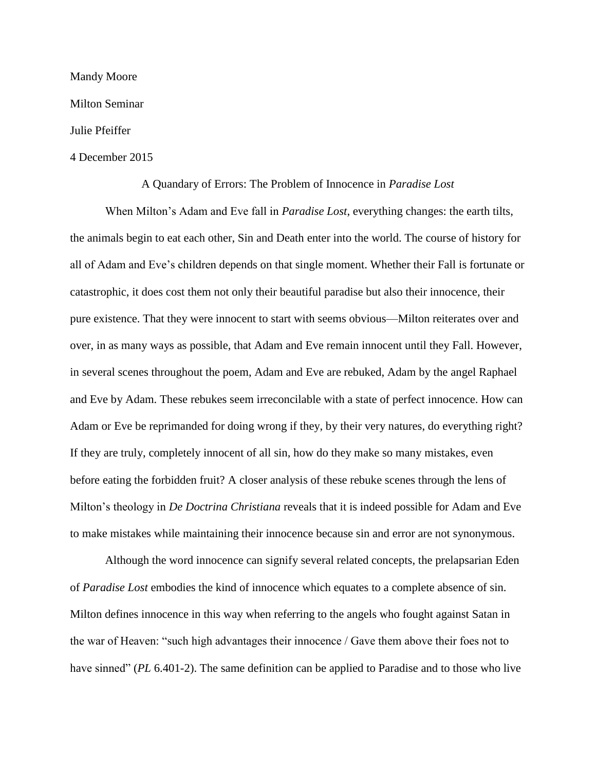Mandy Moore

Milton Seminar

# Julie Pfeiffer

## 4 December 2015

## A Quandary of Errors: The Problem of Innocence in *Paradise Lost*

When Milton's Adam and Eve fall in *Paradise Lost*, everything changes: the earth tilts, the animals begin to eat each other, Sin and Death enter into the world. The course of history for all of Adam and Eve's children depends on that single moment. Whether their Fall is fortunate or catastrophic, it does cost them not only their beautiful paradise but also their innocence, their pure existence. That they were innocent to start with seems obvious—Milton reiterates over and over, in as many ways as possible, that Adam and Eve remain innocent until they Fall. However, in several scenes throughout the poem, Adam and Eve are rebuked, Adam by the angel Raphael and Eve by Adam. These rebukes seem irreconcilable with a state of perfect innocence. How can Adam or Eve be reprimanded for doing wrong if they, by their very natures, do everything right? If they are truly, completely innocent of all sin, how do they make so many mistakes, even before eating the forbidden fruit? A closer analysis of these rebuke scenes through the lens of Milton's theology in *De Doctrina Christiana* reveals that it is indeed possible for Adam and Eve to make mistakes while maintaining their innocence because sin and error are not synonymous.

Although the word innocence can signify several related concepts, the prelapsarian Eden of *Paradise Lost* embodies the kind of innocence which equates to a complete absence of sin. Milton defines innocence in this way when referring to the angels who fought against Satan in the war of Heaven: "such high advantages their innocence / Gave them above their foes not to have sinned" (*PL* 6.401-2). The same definition can be applied to Paradise and to those who live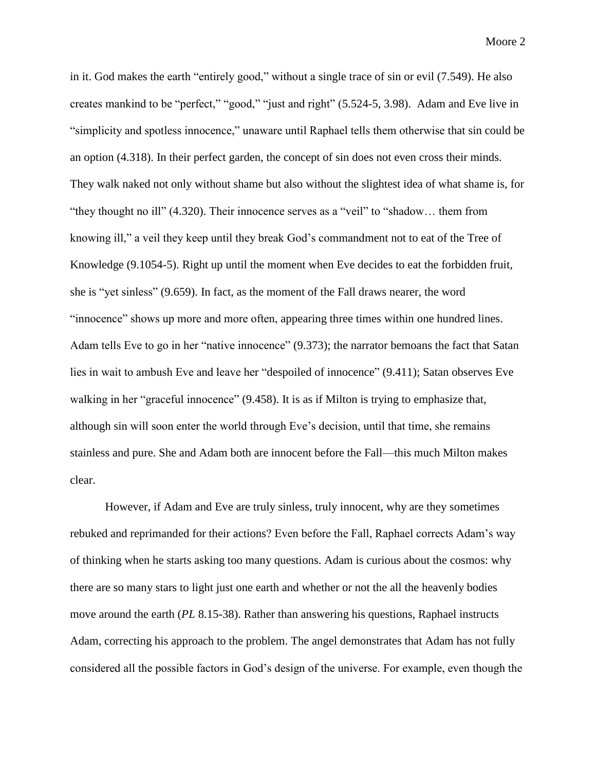in it. God makes the earth "entirely good," without a single trace of sin or evil (7.549). He also creates mankind to be "perfect," "good," "just and right" (5.524-5, 3.98). Adam and Eve live in "simplicity and spotless innocence," unaware until Raphael tells them otherwise that sin could be an option (4.318). In their perfect garden, the concept of sin does not even cross their minds. They walk naked not only without shame but also without the slightest idea of what shame is, for "they thought no ill" (4.320). Their innocence serves as a "veil" to "shadow… them from knowing ill," a veil they keep until they break God's commandment not to eat of the Tree of Knowledge (9.1054-5). Right up until the moment when Eve decides to eat the forbidden fruit, she is "yet sinless" (9.659). In fact, as the moment of the Fall draws nearer, the word "innocence" shows up more and more often, appearing three times within one hundred lines. Adam tells Eve to go in her "native innocence" (9.373); the narrator bemoans the fact that Satan lies in wait to ambush Eve and leave her "despoiled of innocence" (9.411); Satan observes Eve walking in her "graceful innocence" (9.458). It is as if Milton is trying to emphasize that, although sin will soon enter the world through Eve's decision, until that time, she remains stainless and pure. She and Adam both are innocent before the Fall—this much Milton makes clear.

However, if Adam and Eve are truly sinless, truly innocent, why are they sometimes rebuked and reprimanded for their actions? Even before the Fall, Raphael corrects Adam's way of thinking when he starts asking too many questions. Adam is curious about the cosmos: why there are so many stars to light just one earth and whether or not the all the heavenly bodies move around the earth (*PL* 8.15-38). Rather than answering his questions, Raphael instructs Adam, correcting his approach to the problem. The angel demonstrates that Adam has not fully considered all the possible factors in God's design of the universe. For example, even though the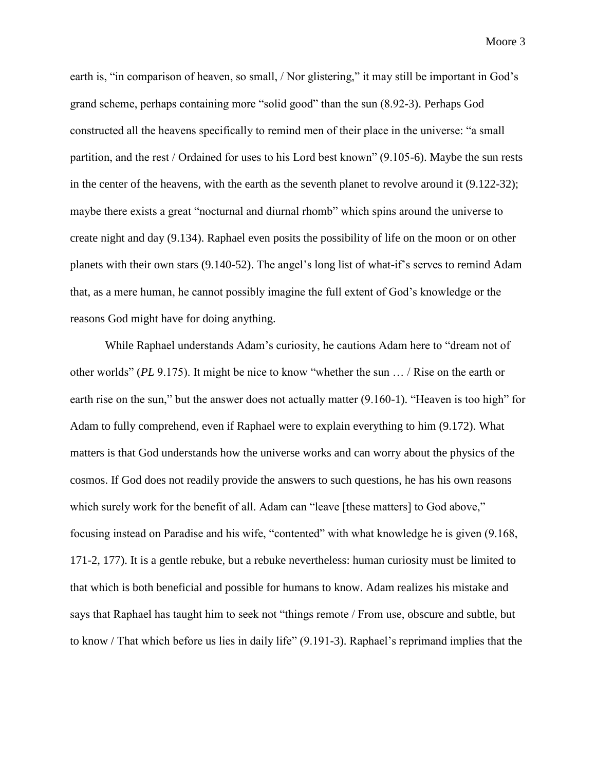earth is, "in comparison of heaven, so small, / Nor glistering," it may still be important in God's grand scheme, perhaps containing more "solid good" than the sun (8.92-3). Perhaps God constructed all the heavens specifically to remind men of their place in the universe: "a small partition, and the rest / Ordained for uses to his Lord best known" (9.105-6). Maybe the sun rests in the center of the heavens, with the earth as the seventh planet to revolve around it (9.122-32); maybe there exists a great "nocturnal and diurnal rhomb" which spins around the universe to create night and day (9.134). Raphael even posits the possibility of life on the moon or on other planets with their own stars (9.140-52). The angel's long list of what-if's serves to remind Adam that, as a mere human, he cannot possibly imagine the full extent of God's knowledge or the reasons God might have for doing anything.

While Raphael understands Adam's curiosity, he cautions Adam here to "dream not of other worlds" (*PL* 9.175). It might be nice to know "whether the sun … / Rise on the earth or earth rise on the sun," but the answer does not actually matter (9.160-1). "Heaven is too high" for Adam to fully comprehend, even if Raphael were to explain everything to him (9.172). What matters is that God understands how the universe works and can worry about the physics of the cosmos. If God does not readily provide the answers to such questions, he has his own reasons which surely work for the benefit of all. Adam can "leave [these matters] to God above," focusing instead on Paradise and his wife, "contented" with what knowledge he is given (9.168, 171-2, 177). It is a gentle rebuke, but a rebuke nevertheless: human curiosity must be limited to that which is both beneficial and possible for humans to know. Adam realizes his mistake and says that Raphael has taught him to seek not "things remote / From use, obscure and subtle, but to know / That which before us lies in daily life" (9.191-3). Raphael's reprimand implies that the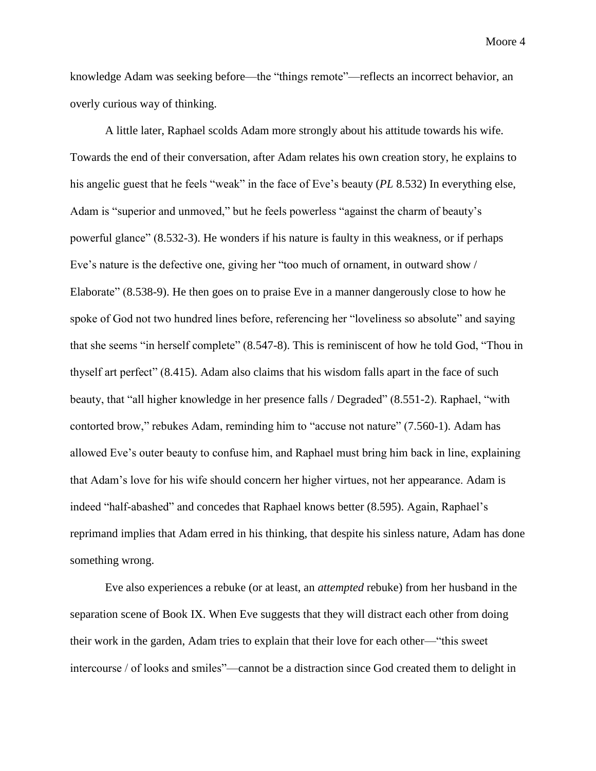knowledge Adam was seeking before—the "things remote"—reflects an incorrect behavior, an overly curious way of thinking.

A little later, Raphael scolds Adam more strongly about his attitude towards his wife. Towards the end of their conversation, after Adam relates his own creation story, he explains to his angelic guest that he feels "weak" in the face of Eve's beauty (*PL* 8.532) In everything else, Adam is "superior and unmoved," but he feels powerless "against the charm of beauty's powerful glance" (8.532-3). He wonders if his nature is faulty in this weakness, or if perhaps Eve's nature is the defective one, giving her "too much of ornament, in outward show / Elaborate" (8.538-9). He then goes on to praise Eve in a manner dangerously close to how he spoke of God not two hundred lines before, referencing her "loveliness so absolute" and saying that she seems "in herself complete" (8.547-8). This is reminiscent of how he told God, "Thou in thyself art perfect" (8.415). Adam also claims that his wisdom falls apart in the face of such beauty, that "all higher knowledge in her presence falls / Degraded" (8.551-2). Raphael, "with contorted brow," rebukes Adam, reminding him to "accuse not nature" (7.560-1). Adam has allowed Eve's outer beauty to confuse him, and Raphael must bring him back in line, explaining that Adam's love for his wife should concern her higher virtues, not her appearance. Adam is indeed "half-abashed" and concedes that Raphael knows better (8.595). Again, Raphael's reprimand implies that Adam erred in his thinking, that despite his sinless nature, Adam has done something wrong.

Eve also experiences a rebuke (or at least, an *attempted* rebuke) from her husband in the separation scene of Book IX. When Eve suggests that they will distract each other from doing their work in the garden, Adam tries to explain that their love for each other—"this sweet intercourse / of looks and smiles"—cannot be a distraction since God created them to delight in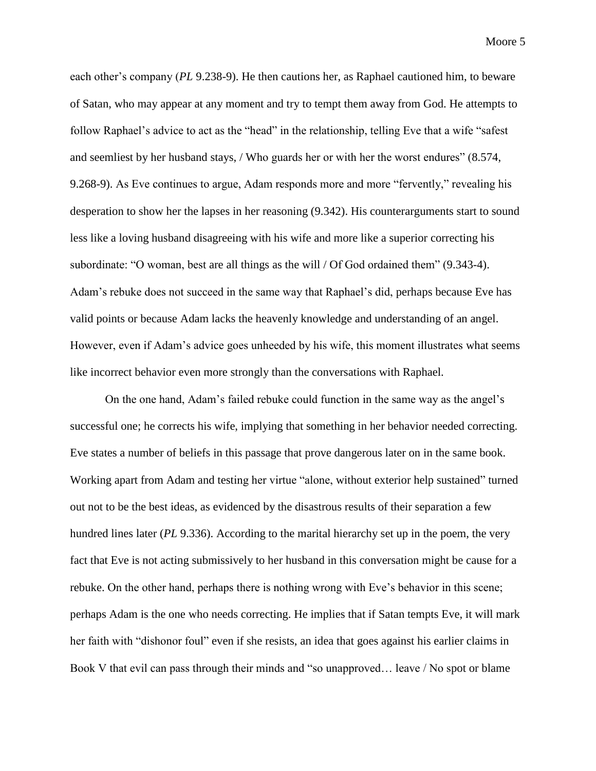each other's company (*PL* 9.238-9). He then cautions her, as Raphael cautioned him, to beware of Satan, who may appear at any moment and try to tempt them away from God. He attempts to follow Raphael's advice to act as the "head" in the relationship, telling Eve that a wife "safest and seemliest by her husband stays, / Who guards her or with her the worst endures" (8.574, 9.268-9). As Eve continues to argue, Adam responds more and more "fervently," revealing his desperation to show her the lapses in her reasoning (9.342). His counterarguments start to sound less like a loving husband disagreeing with his wife and more like a superior correcting his subordinate: "O woman, best are all things as the will / Of God ordained them" (9.343-4). Adam's rebuke does not succeed in the same way that Raphael's did, perhaps because Eve has valid points or because Adam lacks the heavenly knowledge and understanding of an angel. However, even if Adam's advice goes unheeded by his wife, this moment illustrates what seems like incorrect behavior even more strongly than the conversations with Raphael.

On the one hand, Adam's failed rebuke could function in the same way as the angel's successful one; he corrects his wife, implying that something in her behavior needed correcting. Eve states a number of beliefs in this passage that prove dangerous later on in the same book. Working apart from Adam and testing her virtue "alone, without exterior help sustained" turned out not to be the best ideas, as evidenced by the disastrous results of their separation a few hundred lines later (*PL* 9.336). According to the marital hierarchy set up in the poem, the very fact that Eve is not acting submissively to her husband in this conversation might be cause for a rebuke. On the other hand, perhaps there is nothing wrong with Eve's behavior in this scene; perhaps Adam is the one who needs correcting. He implies that if Satan tempts Eve, it will mark her faith with "dishonor foul" even if she resists, an idea that goes against his earlier claims in Book V that evil can pass through their minds and "so unapproved… leave / No spot or blame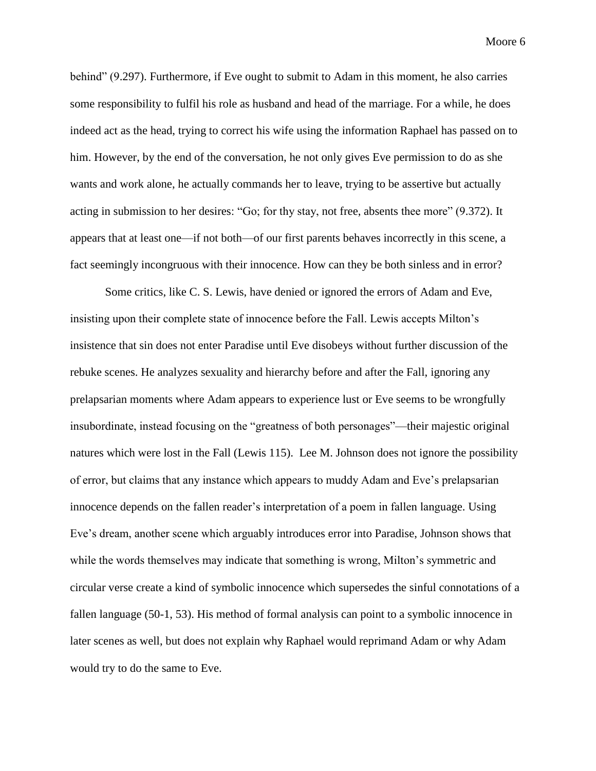behind" (9.297). Furthermore, if Eve ought to submit to Adam in this moment, he also carries some responsibility to fulfil his role as husband and head of the marriage. For a while, he does indeed act as the head, trying to correct his wife using the information Raphael has passed on to him. However, by the end of the conversation, he not only gives Eve permission to do as she wants and work alone, he actually commands her to leave, trying to be assertive but actually acting in submission to her desires: "Go; for thy stay, not free, absents thee more" (9.372). It appears that at least one—if not both—of our first parents behaves incorrectly in this scene, a fact seemingly incongruous with their innocence. How can they be both sinless and in error?

Some critics, like C. S. Lewis, have denied or ignored the errors of Adam and Eve, insisting upon their complete state of innocence before the Fall. Lewis accepts Milton's insistence that sin does not enter Paradise until Eve disobeys without further discussion of the rebuke scenes. He analyzes sexuality and hierarchy before and after the Fall, ignoring any prelapsarian moments where Adam appears to experience lust or Eve seems to be wrongfully insubordinate, instead focusing on the "greatness of both personages"—their majestic original natures which were lost in the Fall (Lewis 115). Lee M. Johnson does not ignore the possibility of error, but claims that any instance which appears to muddy Adam and Eve's prelapsarian innocence depends on the fallen reader's interpretation of a poem in fallen language. Using Eve's dream, another scene which arguably introduces error into Paradise, Johnson shows that while the words themselves may indicate that something is wrong, Milton's symmetric and circular verse create a kind of symbolic innocence which supersedes the sinful connotations of a fallen language (50-1, 53). His method of formal analysis can point to a symbolic innocence in later scenes as well, but does not explain why Raphael would reprimand Adam or why Adam would try to do the same to Eve.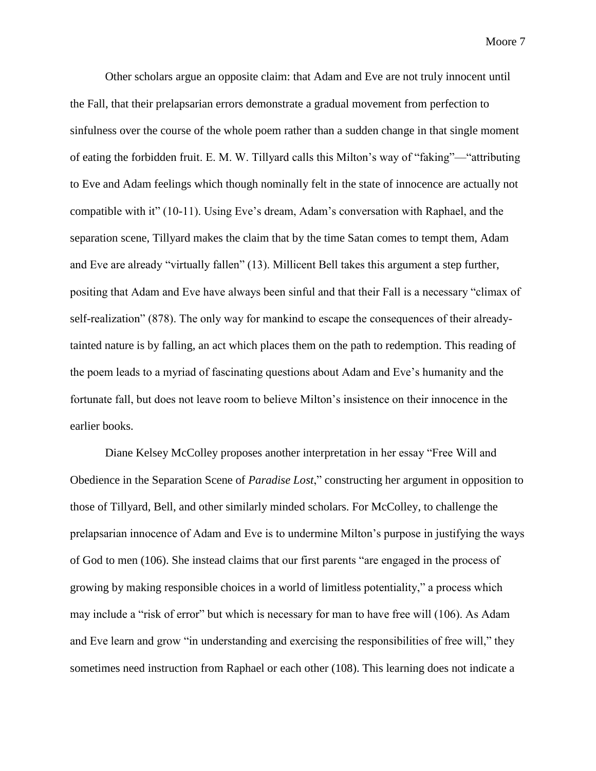Other scholars argue an opposite claim: that Adam and Eve are not truly innocent until the Fall, that their prelapsarian errors demonstrate a gradual movement from perfection to sinfulness over the course of the whole poem rather than a sudden change in that single moment of eating the forbidden fruit. E. M. W. Tillyard calls this Milton's way of "faking"—"attributing to Eve and Adam feelings which though nominally felt in the state of innocence are actually not compatible with it" (10-11). Using Eve's dream, Adam's conversation with Raphael, and the separation scene, Tillyard makes the claim that by the time Satan comes to tempt them, Adam and Eve are already "virtually fallen" (13). Millicent Bell takes this argument a step further, positing that Adam and Eve have always been sinful and that their Fall is a necessary "climax of self-realization" (878). The only way for mankind to escape the consequences of their alreadytainted nature is by falling, an act which places them on the path to redemption. This reading of the poem leads to a myriad of fascinating questions about Adam and Eve's humanity and the fortunate fall, but does not leave room to believe Milton's insistence on their innocence in the earlier books.

Diane Kelsey McColley proposes another interpretation in her essay "Free Will and Obedience in the Separation Scene of *Paradise Lost*," constructing her argument in opposition to those of Tillyard, Bell, and other similarly minded scholars. For McColley, to challenge the prelapsarian innocence of Adam and Eve is to undermine Milton's purpose in justifying the ways of God to men (106). She instead claims that our first parents "are engaged in the process of growing by making responsible choices in a world of limitless potentiality," a process which may include a "risk of error" but which is necessary for man to have free will (106). As Adam and Eve learn and grow "in understanding and exercising the responsibilities of free will," they sometimes need instruction from Raphael or each other (108). This learning does not indicate a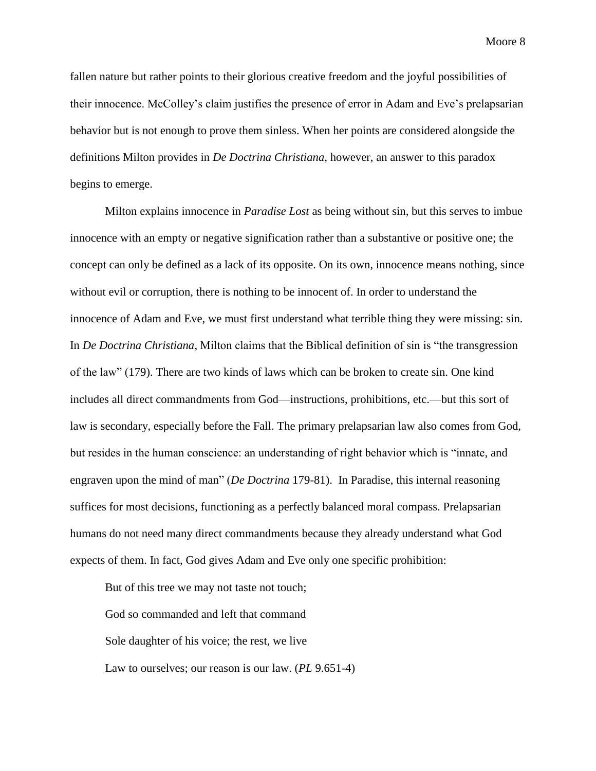fallen nature but rather points to their glorious creative freedom and the joyful possibilities of their innocence. McColley's claim justifies the presence of error in Adam and Eve's prelapsarian behavior but is not enough to prove them sinless. When her points are considered alongside the definitions Milton provides in *De Doctrina Christiana*, however, an answer to this paradox begins to emerge.

Milton explains innocence in *Paradise Lost* as being without sin, but this serves to imbue innocence with an empty or negative signification rather than a substantive or positive one; the concept can only be defined as a lack of its opposite. On its own, innocence means nothing, since without evil or corruption, there is nothing to be innocent of. In order to understand the innocence of Adam and Eve, we must first understand what terrible thing they were missing: sin. In *De Doctrina Christiana*, Milton claims that the Biblical definition of sin is "the transgression of the law" (179). There are two kinds of laws which can be broken to create sin. One kind includes all direct commandments from God—instructions, prohibitions, etc.—but this sort of law is secondary, especially before the Fall. The primary prelapsarian law also comes from God, but resides in the human conscience: an understanding of right behavior which is "innate, and engraven upon the mind of man" (*De Doctrina* 179-81). In Paradise, this internal reasoning suffices for most decisions, functioning as a perfectly balanced moral compass. Prelapsarian humans do not need many direct commandments because they already understand what God expects of them. In fact, God gives Adam and Eve only one specific prohibition:

But of this tree we may not taste not touch; God so commanded and left that command Sole daughter of his voice; the rest, we live Law to ourselves; our reason is our law. (*PL* 9.651-4)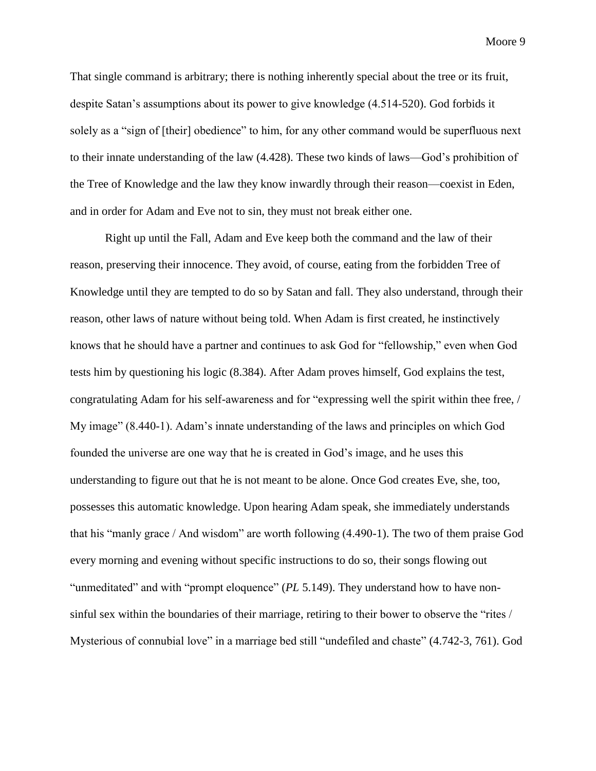That single command is arbitrary; there is nothing inherently special about the tree or its fruit, despite Satan's assumptions about its power to give knowledge (4.514-520). God forbids it solely as a "sign of [their] obedience" to him, for any other command would be superfluous next to their innate understanding of the law (4.428). These two kinds of laws—God's prohibition of the Tree of Knowledge and the law they know inwardly through their reason—coexist in Eden, and in order for Adam and Eve not to sin, they must not break either one.

Right up until the Fall, Adam and Eve keep both the command and the law of their reason, preserving their innocence. They avoid, of course, eating from the forbidden Tree of Knowledge until they are tempted to do so by Satan and fall. They also understand, through their reason, other laws of nature without being told. When Adam is first created, he instinctively knows that he should have a partner and continues to ask God for "fellowship," even when God tests him by questioning his logic (8.384). After Adam proves himself, God explains the test, congratulating Adam for his self-awareness and for "expressing well the spirit within thee free, / My image" (8.440-1). Adam's innate understanding of the laws and principles on which God founded the universe are one way that he is created in God's image, and he uses this understanding to figure out that he is not meant to be alone. Once God creates Eve, she, too, possesses this automatic knowledge. Upon hearing Adam speak, she immediately understands that his "manly grace / And wisdom" are worth following (4.490-1). The two of them praise God every morning and evening without specific instructions to do so, their songs flowing out "unmeditated" and with "prompt eloquence" (*PL* 5.149). They understand how to have nonsinful sex within the boundaries of their marriage, retiring to their bower to observe the "rites / Mysterious of connubial love" in a marriage bed still "undefiled and chaste" (4.742-3, 761). God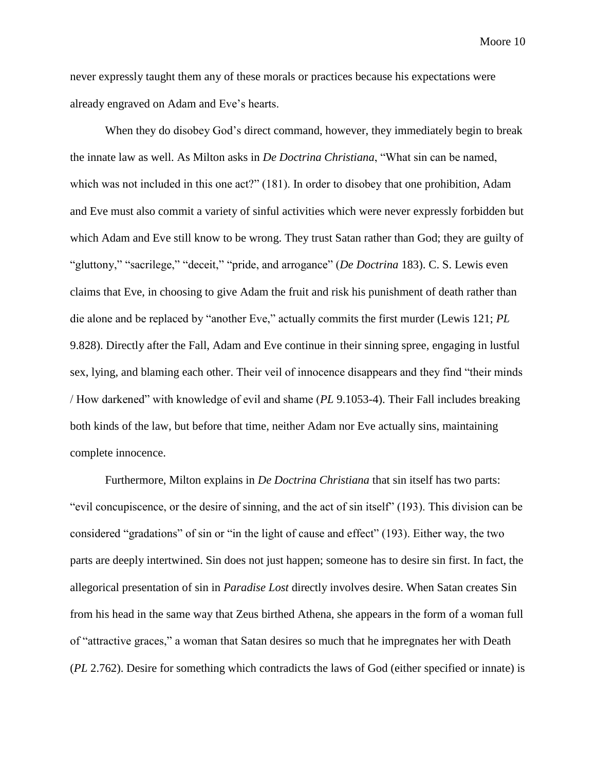never expressly taught them any of these morals or practices because his expectations were already engraved on Adam and Eve's hearts.

When they do disobey God's direct command, however, they immediately begin to break the innate law as well. As Milton asks in *De Doctrina Christiana*, "What sin can be named, which was not included in this one act?" (181). In order to disobey that one prohibition, Adam and Eve must also commit a variety of sinful activities which were never expressly forbidden but which Adam and Eve still know to be wrong. They trust Satan rather than God; they are guilty of "gluttony," "sacrilege," "deceit," "pride, and arrogance" (*De Doctrina* 183). C. S. Lewis even claims that Eve, in choosing to give Adam the fruit and risk his punishment of death rather than die alone and be replaced by "another Eve," actually commits the first murder (Lewis 121; *PL* 9.828). Directly after the Fall, Adam and Eve continue in their sinning spree, engaging in lustful sex, lying, and blaming each other. Their veil of innocence disappears and they find "their minds / How darkened" with knowledge of evil and shame (*PL* 9.1053-4). Their Fall includes breaking both kinds of the law, but before that time, neither Adam nor Eve actually sins, maintaining complete innocence.

Furthermore, Milton explains in *De Doctrina Christiana* that sin itself has two parts: "evil concupiscence, or the desire of sinning, and the act of sin itself" (193). This division can be considered "gradations" of sin or "in the light of cause and effect" (193). Either way, the two parts are deeply intertwined. Sin does not just happen; someone has to desire sin first. In fact, the allegorical presentation of sin in *Paradise Lost* directly involves desire. When Satan creates Sin from his head in the same way that Zeus birthed Athena, she appears in the form of a woman full of "attractive graces," a woman that Satan desires so much that he impregnates her with Death (*PL* 2.762). Desire for something which contradicts the laws of God (either specified or innate) is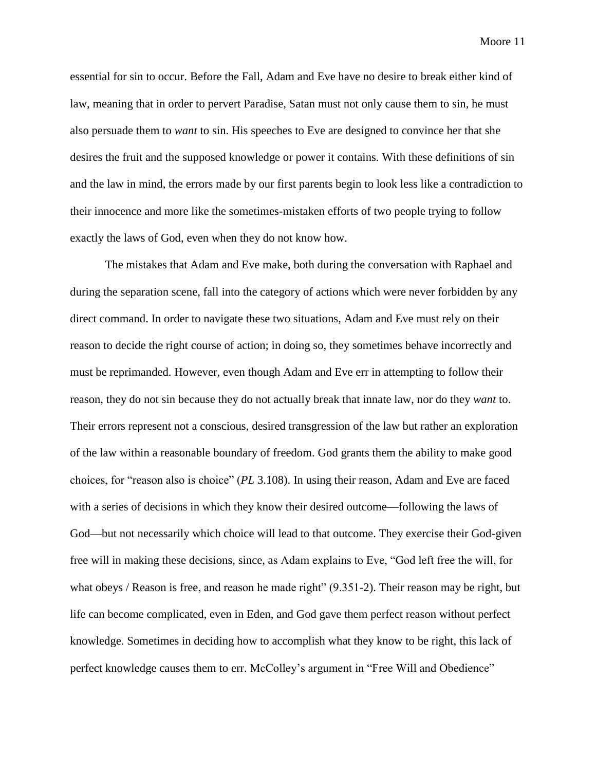essential for sin to occur. Before the Fall, Adam and Eve have no desire to break either kind of law, meaning that in order to pervert Paradise, Satan must not only cause them to sin, he must also persuade them to *want* to sin. His speeches to Eve are designed to convince her that she desires the fruit and the supposed knowledge or power it contains. With these definitions of sin and the law in mind, the errors made by our first parents begin to look less like a contradiction to their innocence and more like the sometimes-mistaken efforts of two people trying to follow exactly the laws of God, even when they do not know how.

The mistakes that Adam and Eve make, both during the conversation with Raphael and during the separation scene, fall into the category of actions which were never forbidden by any direct command. In order to navigate these two situations, Adam and Eve must rely on their reason to decide the right course of action; in doing so, they sometimes behave incorrectly and must be reprimanded. However, even though Adam and Eve err in attempting to follow their reason, they do not sin because they do not actually break that innate law, nor do they *want* to. Their errors represent not a conscious, desired transgression of the law but rather an exploration of the law within a reasonable boundary of freedom. God grants them the ability to make good choices, for "reason also is choice" (*PL* 3.108). In using their reason, Adam and Eve are faced with a series of decisions in which they know their desired outcome—following the laws of God—but not necessarily which choice will lead to that outcome. They exercise their God-given free will in making these decisions, since, as Adam explains to Eve, "God left free the will, for what obeys / Reason is free, and reason he made right" (9.351-2). Their reason may be right, but life can become complicated, even in Eden, and God gave them perfect reason without perfect knowledge. Sometimes in deciding how to accomplish what they know to be right, this lack of perfect knowledge causes them to err. McColley's argument in "Free Will and Obedience"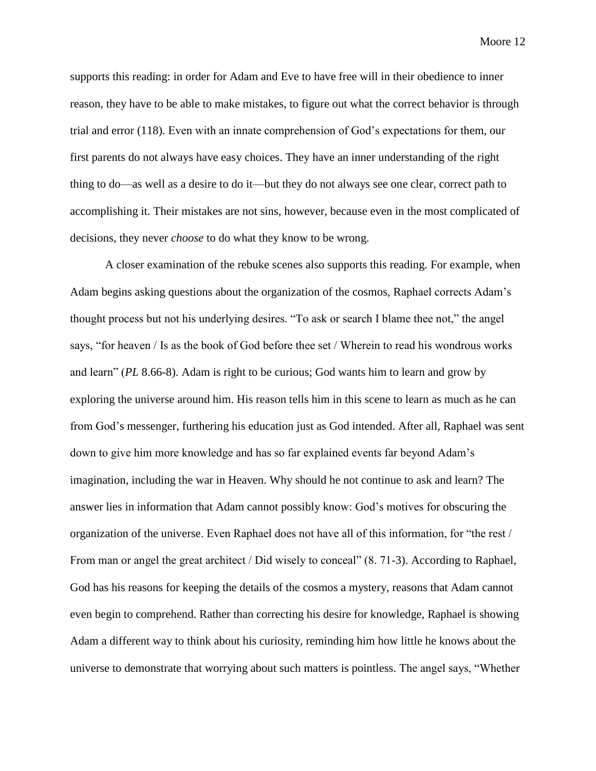supports this reading: in order for Adam and Eve to have free will in their obedience to inner reason, they have to be able to make mistakes, to figure out what the correct behavior is through trial and error (118). Even with an innate comprehension of God's expectations for them, our first parents do not always have easy choices. They have an inner understanding of the right thing to do—as well as a desire to do it—but they do not always see one clear, correct path to accomplishing it. Their mistakes are not sins, however, because even in the most complicated of decisions, they never *choose* to do what they know to be wrong.

A closer examination of the rebuke scenes also supports this reading. For example, when Adam begins asking questions about the organization of the cosmos, Raphael corrects Adam's thought process but not his underlying desires. "To ask or search I blame thee not," the angel says, "for heaven / Is as the book of God before thee set / Wherein to read his wondrous works and learn" (*PL* 8.66-8). Adam is right to be curious; God wants him to learn and grow by exploring the universe around him. His reason tells him in this scene to learn as much as he can from God's messenger, furthering his education just as God intended. After all, Raphael was sent down to give him more knowledge and has so far explained events far beyond Adam's imagination, including the war in Heaven. Why should he not continue to ask and learn? The answer lies in information that Adam cannot possibly know: God's motives for obscuring the organization of the universe. Even Raphael does not have all of this information, for "the rest / From man or angel the great architect / Did wisely to conceal" (8. 71-3). According to Raphael, God has his reasons for keeping the details of the cosmos a mystery, reasons that Adam cannot even begin to comprehend. Rather than correcting his desire for knowledge, Raphael is showing Adam a different way to think about his curiosity, reminding him how little he knows about the universe to demonstrate that worrying about such matters is pointless. The angel says, "Whether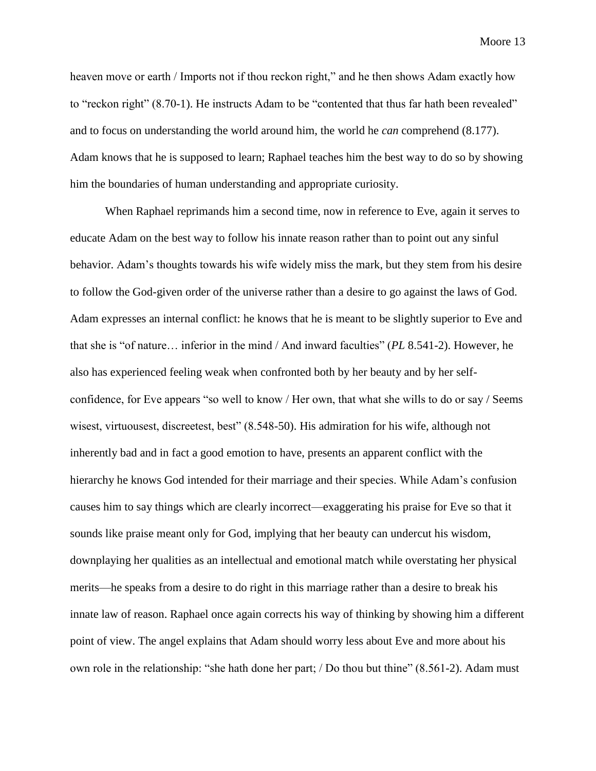heaven move or earth / Imports not if thou reckon right," and he then shows Adam exactly how to "reckon right" (8.70-1). He instructs Adam to be "contented that thus far hath been revealed" and to focus on understanding the world around him, the world he *can* comprehend (8.177). Adam knows that he is supposed to learn; Raphael teaches him the best way to do so by showing him the boundaries of human understanding and appropriate curiosity.

When Raphael reprimands him a second time, now in reference to Eve, again it serves to educate Adam on the best way to follow his innate reason rather than to point out any sinful behavior. Adam's thoughts towards his wife widely miss the mark, but they stem from his desire to follow the God-given order of the universe rather than a desire to go against the laws of God. Adam expresses an internal conflict: he knows that he is meant to be slightly superior to Eve and that she is "of nature… inferior in the mind / And inward faculties" (*PL* 8.541-2). However, he also has experienced feeling weak when confronted both by her beauty and by her selfconfidence, for Eve appears "so well to know / Her own, that what she wills to do or say / Seems wisest, virtuousest, discreetest, best" (8.548-50). His admiration for his wife, although not inherently bad and in fact a good emotion to have, presents an apparent conflict with the hierarchy he knows God intended for their marriage and their species. While Adam's confusion causes him to say things which are clearly incorrect—exaggerating his praise for Eve so that it sounds like praise meant only for God, implying that her beauty can undercut his wisdom, downplaying her qualities as an intellectual and emotional match while overstating her physical merits—he speaks from a desire to do right in this marriage rather than a desire to break his innate law of reason. Raphael once again corrects his way of thinking by showing him a different point of view. The angel explains that Adam should worry less about Eve and more about his own role in the relationship: "she hath done her part; / Do thou but thine" (8.561-2). Adam must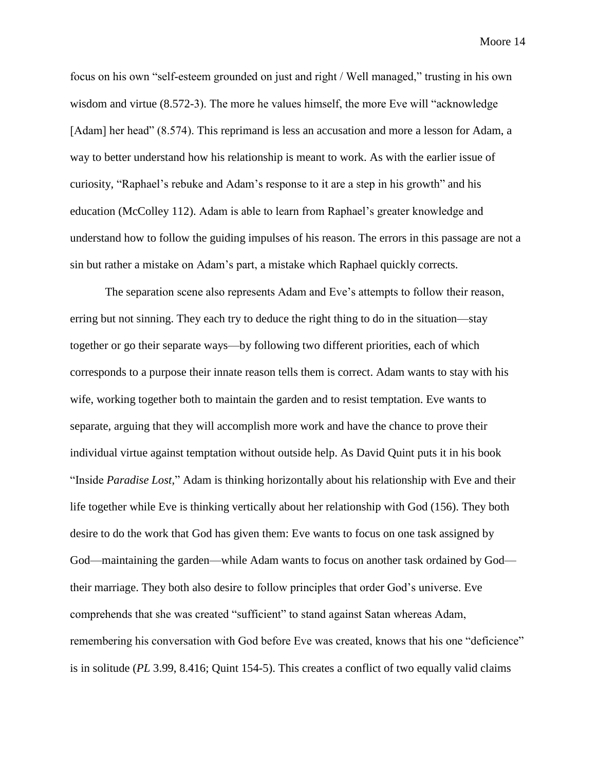focus on his own "self-esteem grounded on just and right / Well managed," trusting in his own wisdom and virtue (8.572-3). The more he values himself, the more Eve will "acknowledge [Adam] her head" (8.574). This reprimand is less an accusation and more a lesson for Adam, a way to better understand how his relationship is meant to work. As with the earlier issue of curiosity, "Raphael's rebuke and Adam's response to it are a step in his growth" and his education (McColley 112). Adam is able to learn from Raphael's greater knowledge and understand how to follow the guiding impulses of his reason. The errors in this passage are not a sin but rather a mistake on Adam's part, a mistake which Raphael quickly corrects.

The separation scene also represents Adam and Eve's attempts to follow their reason, erring but not sinning. They each try to deduce the right thing to do in the situation—stay together or go their separate ways—by following two different priorities, each of which corresponds to a purpose their innate reason tells them is correct. Adam wants to stay with his wife, working together both to maintain the garden and to resist temptation. Eve wants to separate, arguing that they will accomplish more work and have the chance to prove their individual virtue against temptation without outside help. As David Quint puts it in his book "Inside *Paradise Lost*," Adam is thinking horizontally about his relationship with Eve and their life together while Eve is thinking vertically about her relationship with God (156). They both desire to do the work that God has given them: Eve wants to focus on one task assigned by God—maintaining the garden—while Adam wants to focus on another task ordained by God their marriage. They both also desire to follow principles that order God's universe. Eve comprehends that she was created "sufficient" to stand against Satan whereas Adam, remembering his conversation with God before Eve was created, knows that his one "deficience" is in solitude (*PL* 3.99, 8.416; Quint 154-5). This creates a conflict of two equally valid claims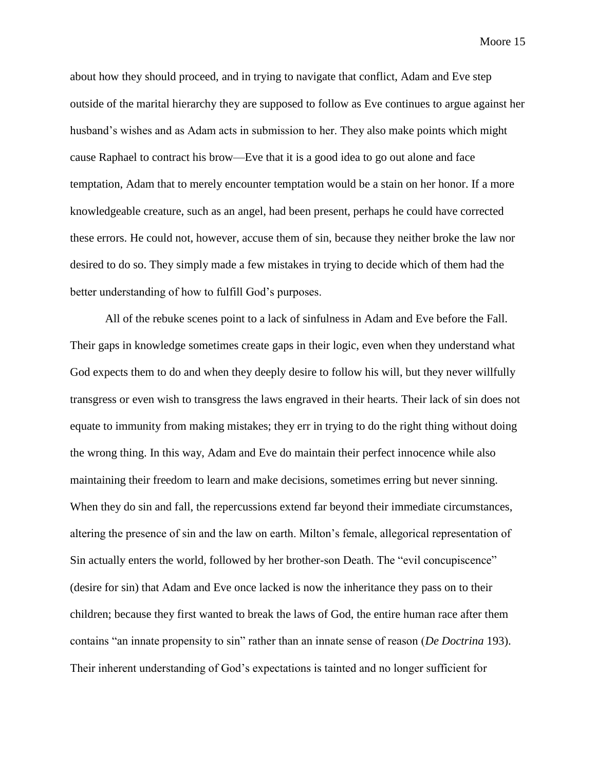about how they should proceed, and in trying to navigate that conflict, Adam and Eve step outside of the marital hierarchy they are supposed to follow as Eve continues to argue against her husband's wishes and as Adam acts in submission to her. They also make points which might cause Raphael to contract his brow—Eve that it is a good idea to go out alone and face temptation, Adam that to merely encounter temptation would be a stain on her honor. If a more knowledgeable creature, such as an angel, had been present, perhaps he could have corrected these errors. He could not, however, accuse them of sin, because they neither broke the law nor desired to do so. They simply made a few mistakes in trying to decide which of them had the better understanding of how to fulfill God's purposes.

All of the rebuke scenes point to a lack of sinfulness in Adam and Eve before the Fall. Their gaps in knowledge sometimes create gaps in their logic, even when they understand what God expects them to do and when they deeply desire to follow his will, but they never willfully transgress or even wish to transgress the laws engraved in their hearts. Their lack of sin does not equate to immunity from making mistakes; they err in trying to do the right thing without doing the wrong thing. In this way, Adam and Eve do maintain their perfect innocence while also maintaining their freedom to learn and make decisions, sometimes erring but never sinning. When they do sin and fall, the repercussions extend far beyond their immediate circumstances, altering the presence of sin and the law on earth. Milton's female, allegorical representation of Sin actually enters the world, followed by her brother-son Death. The "evil concupiscence" (desire for sin) that Adam and Eve once lacked is now the inheritance they pass on to their children; because they first wanted to break the laws of God, the entire human race after them contains "an innate propensity to sin" rather than an innate sense of reason (*De Doctrina* 193). Their inherent understanding of God's expectations is tainted and no longer sufficient for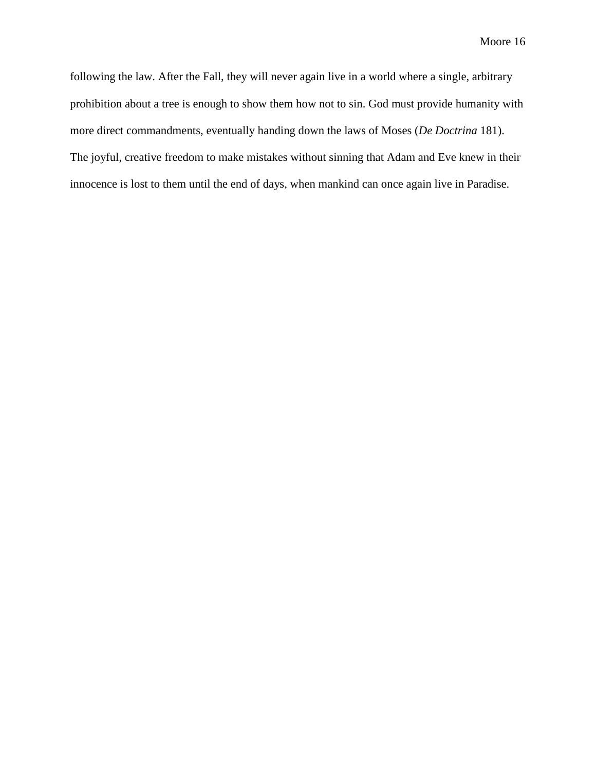following the law. After the Fall, they will never again live in a world where a single, arbitrary prohibition about a tree is enough to show them how not to sin. God must provide humanity with more direct commandments, eventually handing down the laws of Moses (*De Doctrina* 181). The joyful, creative freedom to make mistakes without sinning that Adam and Eve knew in their innocence is lost to them until the end of days, when mankind can once again live in Paradise.